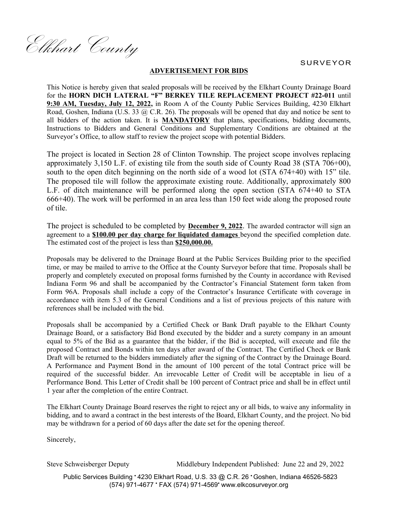SURVEYOR

Elkhart County

## **ADVERTISEMENT FOR BIDS**

This Notice is hereby given that sealed proposals will be received by the Elkhart County Drainage Board for the **HORN DICH LATERAL "F" BERKEY TILE REPLACEMENT PROJECT #22-011** until **9:30 AM, Tuesday, July 12, 2022,** in Room A of the County Public Services Building, 4230 Elkhart Road, Goshen, Indiana (U.S. 33 @ C.R. 26). The proposals will be opened that day and notice be sent to all bidders of the action taken. It is **MANDATORY** that plans, specifications, bidding documents, Instructions to Bidders and General Conditions and Supplementary Conditions are obtained at the Surveyor's Office, to allow staff to review the project scope with potential Bidders.

The project is located in Section 28 of Clinton Township. The project scope involves replacing approximately 3,150 L.F. of existing tile from the south side of County Road 38 (STA 706+00), south to the open ditch beginning on the north side of a wood lot (STA 674+40) with 15" tile. The proposed tile will follow the approximate existing route. Additionally, approximately 800 L.F. of ditch maintenance will be performed along the open section (STA 674+40 to STA 666+40). The work will be performed in an area less than 150 feet wide along the proposed route of tile.

The project is scheduled to be completed by **December 9, 2022**. The awarded contractor will sign an agreement to a **\$100.00 per day charge for liquidated damages** beyond the specified completion date. The estimated cost of the project is less than **\$250,000.00.**

Proposals may be delivered to the Drainage Board at the Public Services Building prior to the specified time, or may be mailed to arrive to the Office at the County Surveyor before that time. Proposals shall be properly and completely executed on proposal forms furnished by the County in accordance with Revised Indiana Form 96 and shall be accompanied by the Contractor's Financial Statement form taken from Form 96A. Proposals shall include a copy of the Contractor's Insurance Certificate with coverage in accordance with item 5.3 of the General Conditions and a list of previous projects of this nature with references shall be included with the bid.

Proposals shall be accompanied by a Certified Check or Bank Draft payable to the Elkhart County Drainage Board, or a satisfactory Bid Bond executed by the bidder and a surety company in an amount equal to 5% of the Bid as a guarantee that the bidder, if the Bid is accepted, will execute and file the proposed Contract and Bonds within ten days after award of the Contract. The Certified Check or Bank Draft will be returned to the bidders immediately after the signing of the Contract by the Drainage Board. A Performance and Payment Bond in the amount of 100 percent of the total Contract price will be required of the successful bidder. An irrevocable Letter of Credit will be acceptable in lieu of a Performance Bond. This Letter of Credit shall be 100 percent of Contract price and shall be in effect until 1 year after the completion of the entire Contract.

The Elkhart County Drainage Board reserves the right to reject any or all bids, to waive any informality in bidding, and to award a contract in the best interests of the Board, Elkhart County, and the project. No bid may be withdrawn for a period of 60 days after the date set for the opening thereof.

Sincerely,

Steve Schweisberger Deputy Middlebury Independent Published: June 22 and 29, 2022

Public Services Building \* 4230 Elkhart Road, U.S. 33 @ C.R. 26 \* Goshen, Indiana 46526-5823 (574) 971-4677 FAX (574) 971-4569 www.elkcosurveyor.org